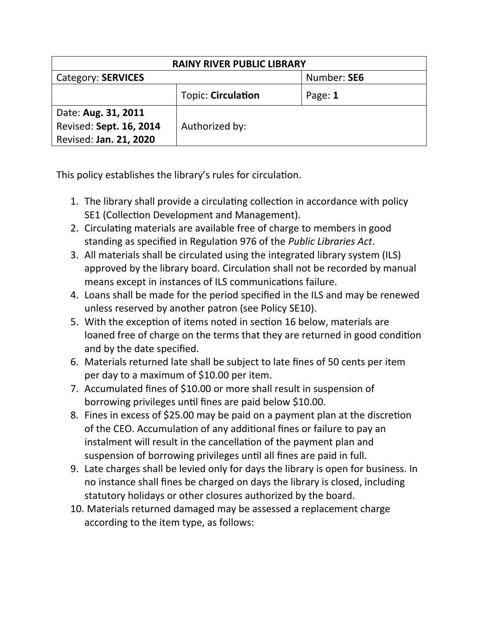| <b>RAINY RIVER PUBLIC LIBRARY</b> |                           |             |  |  |
|-----------------------------------|---------------------------|-------------|--|--|
| Category: SERVICES                |                           | Number: SE6 |  |  |
|                                   | <b>Topic: Circulation</b> | Page: 1     |  |  |
| Date: Aug. 31, 2011               |                           |             |  |  |
| Revised: Sept. 16, 2014           | Authorized by:            |             |  |  |
| Revised: Jan. 21, 2020            |                           |             |  |  |

This policy establishes the library's rules for circulation.

- 1. The library shall provide a circulating collection in accordance with policy SE1 (Collection Development and Management).
- 2. Circulating materials are available free of charge to members in good standing as specified in Regulation 976 of the *Public Libraries Act*.
- 3. All materials shall be circulated using the integrated library system (ILS) approved by the library board. Circulation shall not be recorded by manual means except in instances of ILS communications failure.
- 4. Loans shall be made for the period specified in the ILS and may be renewed unless reserved by another patron (see Policy SE10).
- 5. With the exception of items noted in section 16 below, materials are loaned free of charge on the terms that they are returned in good condition and by the date specified.
- 6. Materials returned late shall be subject to late fines of 50 cents per item per day to a maximum of \$10.00 per item.
- 7. Accumulated fines of \$10.00 or more shall result in suspension of borrowing privileges until fines are paid below \$10.00.
- 8. Fines in excess of \$25.00 may be paid on a payment plan at the discretion of the CEO. Accumulation of any additional fines or failure to pay an instalment will result in the cancellation of the payment plan and suspension of borrowing privileges until all fines are paid in full.
- 9. Late charges shall be levied only for days the library is open for business. In no instance shall fines be charged on days the library is closed, including statutory holidays or other closures authorized by the board.
- 10. Materials returned damaged may be assessed a replacement charge according to the item type, as follows: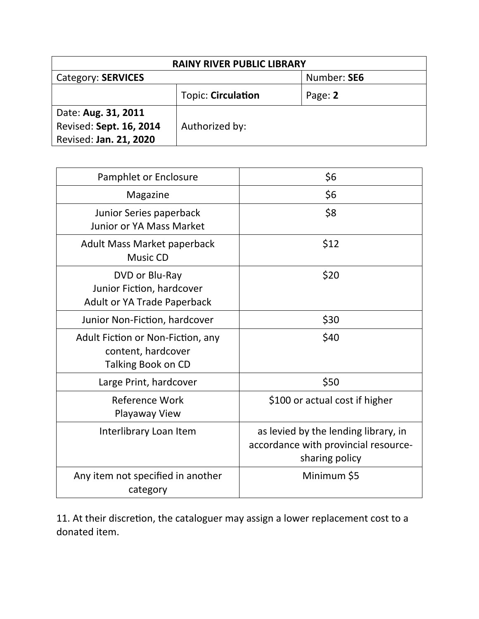| <b>RAINY RIVER PUBLIC LIBRARY</b> |                           |             |  |  |
|-----------------------------------|---------------------------|-------------|--|--|
| Category: SERVICES                |                           | Number: SE6 |  |  |
|                                   | <b>Topic: Circulation</b> | Page: 2     |  |  |
| Date: Aug. 31, 2011               |                           |             |  |  |
| Revised: Sept. 16, 2014           | Authorized by:            |             |  |  |
| Revised: Jan. 21, 2020            |                           |             |  |  |

| Pamphlet or Enclosure                                                             | \$6                                                                                            |
|-----------------------------------------------------------------------------------|------------------------------------------------------------------------------------------------|
| Magazine                                                                          | \$6                                                                                            |
| Junior Series paperback<br><b>Junior or YA Mass Market</b>                        | \$8                                                                                            |
| Adult Mass Market paperback<br><b>Music CD</b>                                    | \$12                                                                                           |
| DVD or Blu-Ray<br>Junior Fiction, hardcover<br><b>Adult or YA Trade Paperback</b> | \$20                                                                                           |
| Junior Non-Fiction, hardcover                                                     | \$30                                                                                           |
| Adult Fiction or Non-Fiction, any<br>content, hardcover<br>Talking Book on CD     | \$40                                                                                           |
| Large Print, hardcover                                                            | \$50                                                                                           |
| Reference Work<br>Playaway View                                                   | \$100 or actual cost if higher                                                                 |
| Interlibrary Loan Item                                                            | as levied by the lending library, in<br>accordance with provincial resource-<br>sharing policy |
| Any item not specified in another<br>category                                     | Minimum \$5                                                                                    |

11. At their discretion, the cataloguer may assign a lower replacement cost to a donated item.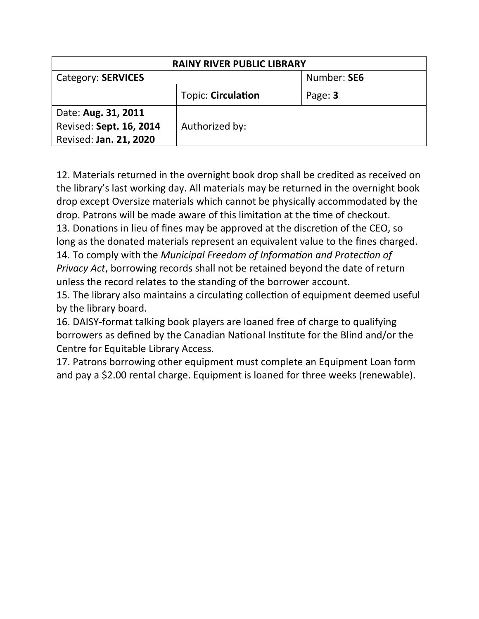| <b>RAINY RIVER PUBLIC LIBRARY</b> |                           |             |  |  |
|-----------------------------------|---------------------------|-------------|--|--|
| Category: SERVICES                |                           | Number: SE6 |  |  |
|                                   | <b>Topic: Circulation</b> | Page: 3     |  |  |
| Date: Aug. 31, 2011               |                           |             |  |  |
| Revised: Sept. 16, 2014           | Authorized by:            |             |  |  |
| Revised: Jan. 21, 2020            |                           |             |  |  |

12. Materials returned in the overnight book drop shall be credited as received on the library's last working day. All materials may be returned in the overnight book drop except Oversize materials which cannot be physically accommodated by the drop. Patrons will be made aware of this limitation at the time of checkout. 13. Donations in lieu of fines may be approved at the discretion of the CEO, so long as the donated materials represent an equivalent value to the fines charged. 14. To comply with the *Municipal Freedom of Information and Protection of Privacy Act*, borrowing records shall not be retained beyond the date of return

unless the record relates to the standing of the borrower account.

15. The library also maintains a circulating collection of equipment deemed useful by the library board.

16. DAISY-format talking book players are loaned free of charge to qualifying borrowers as defined by the Canadian National Institute for the Blind and/or the Centre for Equitable Library Access.

17. Patrons borrowing other equipment must complete an Equipment Loan form and pay a \$2.00 rental charge. Equipment is loaned for three weeks (renewable).